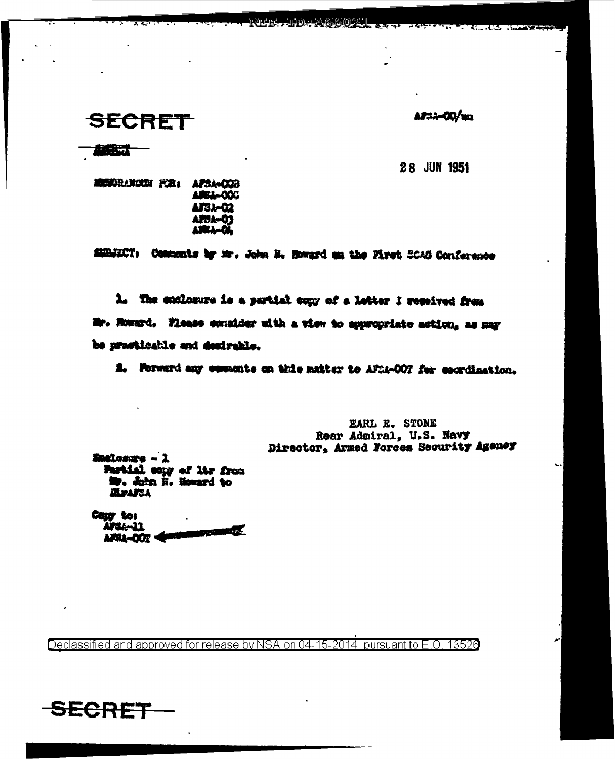## **SECRET**

AF33-00/un

**TART** 

28 JUN 1951

MENDRANCKE FOR: AFSA-COB **AREL-000** AFSJ-02 **APSA-01** ARA-Q

SUBJECT: Comments by Mr. John H. Howard on the First SCAO Conference

முடித்துரைய

<u>استان الا</u>

1. The enclosure is a sertial comy of a letter I resolved from Mr. Howard. Flease counider with a view to appropriate action, as may be practicable and desirable.

A. Forward any compents on this matter to AFSA-OOT for coordination.

EARL E. STONE Rear Admiral, U.S. Navy Director, Armed Forces Security Ageney

Badlosure - 1 Partial copy of Mr from **ZEPAFSA** 

Cour to: AFSA-11 **PERSONAL COM** AFSL-DOT

Declassified and approved for release by NSA on 04-15-2014 pursuant to E.O. 13526

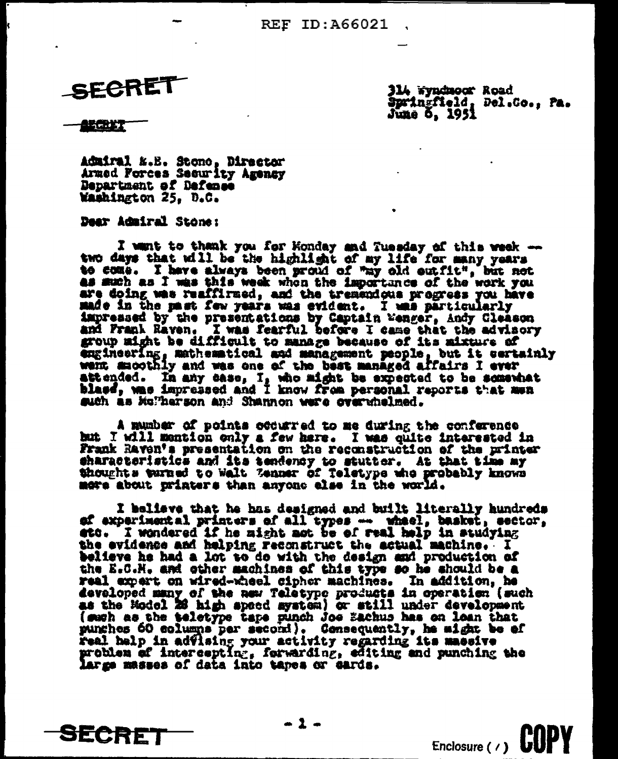SECRET

314 wyndnoor Road Springfield, Del.Co., Pa. June 5, 1951

86. Y

**SECRET** 

Admiral K.E. Stone, Director Armed Forces Security Agency Department of Defense Washington 25, D.C.

Dear Admiral Stone:

I want to thank you for Honday and Tuesday of this week -two days that will be the highlight of my life for many years to come. I have always been proud of "my old outfit", but not as much as I was this week whon the importance of the work you are doing was reaffirmed, and the tremendous progress you have made in the mast few years was evident. I was particularly impressed by the presentations by Captain Menger, Andy Cleason<br>and Frank Rayen. I was fearful before I came that the advisory group might be difficult to manage because of its mixture of engineering, mathematical and management people, but it certainly went macothly and was one of the best managed affairs I ever attended. In any case, I, who might be expected to be somewhat blass, was impressed and I know from personal reports that men such as Mulherson and Shannon were overwhelmed.

A munber of points occurred to me during the conference but I will mention only a few here. I was quite interested in Frank Raven's presentation on the reconstruction of the printer characteristics and its tendency to stutter. At that time my thoughts turned to Walt Zenner of Teletype who probably knows more about printers than anyone else in the world.

I believe that he has designed and built literally hundreds ef experimental printers of all types -- wheel, basket, sector, ato. I wondered if he might not be of real help in studying the evidence and helping reconstruct the actual machine. I believe he had a lot to do with the design and production of the E.C.H. and other machines of this type so he should be a real expert on wired-wheel cipher machines. In addition, he developed many of the new Teletype products in operation (such as the Hodel 26 high speed system) or still under development (such as the teletype tape punch Joe Sachus has on lean that punches 60 eclumns per second). Consequently, he might be of real help in advising your activity regarding its massive problem of intercepting, forwarding, editing and punching the large masses of data into tapes or cards.

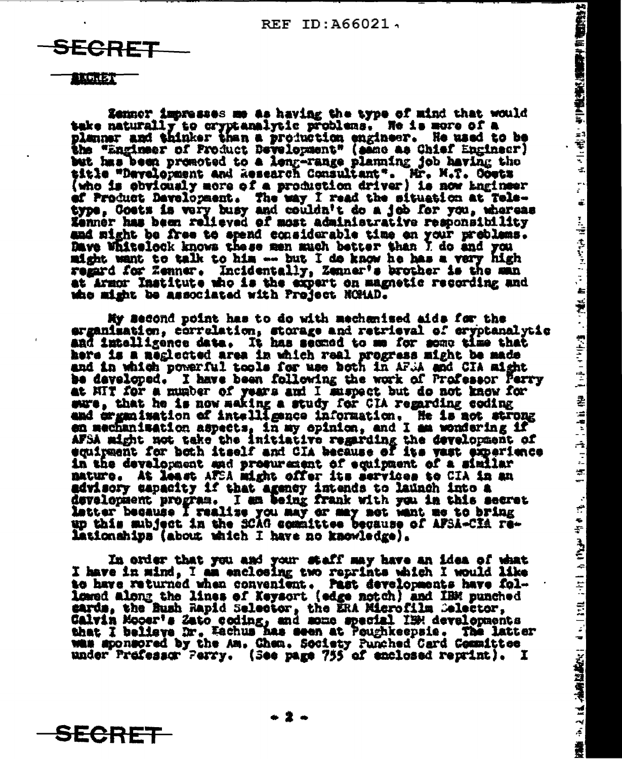2、中门最高区通道需求价值的特性

三十二

÷.

 $\frac{1}{\pi}$ 

ä.

机槽 法警察官 计编

店 上古 新 (特) 全元 正 (315) 2番 (317種肉)

 $\frac{1}{2}$ 

÷.

÷

 $\mathcal{S}$  $\frac{1}{\sqrt{2}}$  $\frac{1}{2}$ 

精神 平定 は、油麻腐蔵化 いっし 200 1200 1200 カラン

SECRET

## $1.5111771$

Zenner impresses me as having the type of mind that would take naturally to cryptanalytic problems. He is more of a planner and thinker than a production engineer. He used to be the "Engineer of Product Development" (same as Chief Engineer) but has been premoted to a leng-range planning job having the title "Development and Research Consultant". Mr. M.T. Costz (who is obviously more of a production driver) is now ingineer of Product Davelopment. The way I read the situation at Teletype, Goets is very busy and couldn't do a job for you, whereas Zenner has been relieved of most administrative responsibility and might be free to spend considerable time on your problems. Dave Whitelock knows these men much better than I do and you might want to talk to him --- but I do know he has a very high regard for Zenner. Incidentally, Zenner's brother is the man at Armor Institute who is the expert on magnetic recording and who might be associated with Project NOMAD.

My second point has to do with mechanised aids for the erganisation, correlation, storage and retrieval of eryptanalytic and intelligence data. It has sexued to me for some time that here is a neglected area in which real progress might be made and in which powerful tools for use both in AF.A and CIA might be developed. I have been following the work of Professor Perry at HIT for a munder of years and I muspect but do not know for sure, that he is now making a study for CIA regarding coding<br>and crganization of intelligence information. He is not strong en mechanisation aspects, in my opinion, and I am wondering if AFSA might not take the initiative regarding the development of equipment for both itself and CIA because of its vast experience in the development and prosurement of equipment of a similar mature. At least AFSA might offer its services to CIA in an advisory capacity if that agency intends to launch into a development program. I am being frank with you in this secret<br>latter because I realize you may or may not want me to bring up this subject in the SCAG committee because of AFSA-CIA relationships (about which I have no knowledge).

In order that you and your staff may have an idea of what I have in mind, I am enclosing two reprints which I would like to have returned when convenient. Past developments have followed along the lines of Keysort (edge notch) and IBM punched **cards, the Bush Rapid Selector, the ERA Microfilm Celector,** Calvin Moosr's Zato coding, and mome special IBM developments that I believe Dr. Eachus has seen at Poughkeepsie. The latter was sponsored by the Am. Chem. Society Punched Card Committee under Professor Perry. (See page 755 of enclosed reprint). I

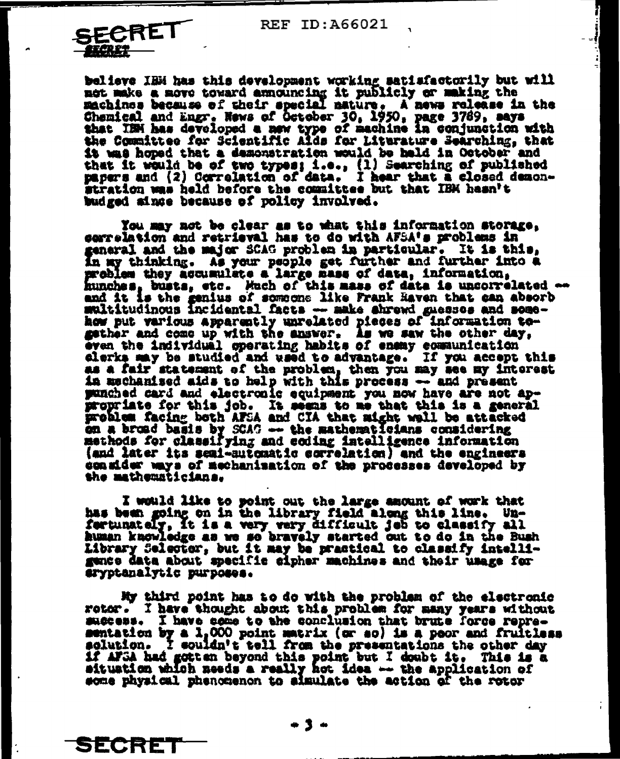**REF ID: A66021** 

ħ



SECRET

believe IBM has this development working satisfactorily but will met make a move toward announcing it publicly or making the machines because of their special mature. A news release in the Chemical and Engr. News of October 30, 1950, page 3769, says that ISM has developed a new type of machine in conjunction with the Committee for Scientific Alds for Liturature Searching, that it was hoped that a demonstration would be held in October and that it would be of two types; i.e., (1) Searching of published papers and (2) Correlation of data. I hear that a closed demonstration was held before the committee but that IBK hasn't budged aince because of policy involved.

You may not be clear as to what this information storage. serrelation and retrieval has to do with AFSA's problems in general and the major SCAG problem in particular. It is this. In my thinking. As your people get further and further into a problem they accumulate a large mass of data, information, hunches, busts, etc. Much of this mass of data is uncorrelated ... and it is the genius of someone like Frank Haven that can absorb multitudinous incidental facts -- make shrewd guessos and somehow put various apparently unrelated pieces of information together and come up with the answer. As we saw the other day, even the individual operating habits of enemy communication clerks may be studied and waed to advantage. If you accept this as a fair statement of the problem, then you may see my interest<br>in mechanised aids to help with this process -- and present punched card and electronic equipment you now have are not appropriate for this job. It seems to me that this is a general problem facing both AFSA and CIA that might wall be attacked on a broad basis by SCAC -- the mathematicians considering methods for classifying and coding intelligence information (and later its semi-sutomatic correlation) and the engineers consider mays of mechanisation of the processes developed by the mathematicians.

I would like to point out the large amount of work that has been going on in the library field along this line. Unfertunately, it is a very very difficult jeb to classify all human knowledge as we so bravely started out to do in the Bush Library Selector, but it may be practical to classify intelligunce data about specific cipher machines and their usage for aryptanalytic purposes.

My third point has to do with the problem of the electronic rotor. I have thought about this problem for many years without success. I have come to the conclusion that brute force repre-<br>sentation by a 1,000 point matrix (or so) is a peor and fruitless<br>solution. I souldn't tell from the presentations the other day if AFSA had gotten beyond this point but I doubt it. This is a situation which needs a really hot idea -- the application of some physical phenomenon to simulate the action of the rotor